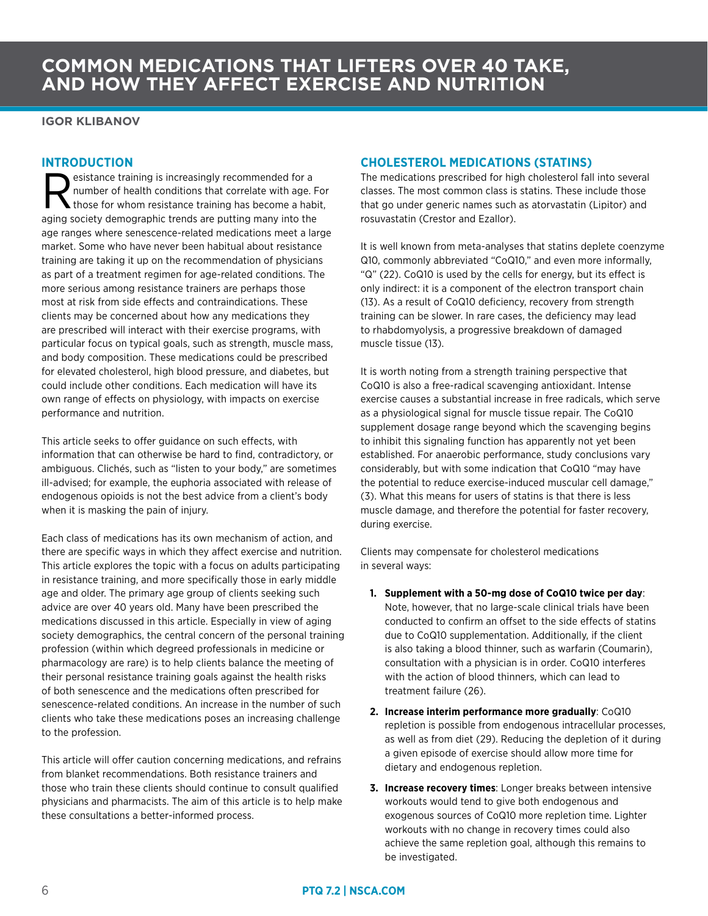## **COMMON MEDICATIONS THAT LIFTERS OVER 40 TAKE, AND HOW THEY AFFECT EXERCISE AND NUTRITION**

**IGOR KLIBANOV**

#### **INTRODUCTION**

Experience training is increasingly recommended for a<br>
those for whom resistance training has become a habit,<br>
pairs society demographic transformation many into the number of health conditions that correlate with age. For aging society demographic trends are putting many into the age ranges where senescence-related medications meet a large market. Some who have never been habitual about resistance training are taking it up on the recommendation of physicians as part of a treatment regimen for age-related conditions. The more serious among resistance trainers are perhaps those most at risk from side effects and contraindications. These clients may be concerned about how any medications they are prescribed will interact with their exercise programs, with particular focus on typical goals, such as strength, muscle mass, and body composition. These medications could be prescribed for elevated cholesterol, high blood pressure, and diabetes, but could include other conditions. Each medication will have its own range of effects on physiology, with impacts on exercise performance and nutrition.

This article seeks to offer guidance on such effects, with information that can otherwise be hard to find, contradictory, or ambiguous. Clichés, such as "listen to your body," are sometimes ill-advised; for example, the euphoria associated with release of endogenous opioids is not the best advice from a client's body when it is masking the pain of injury.

Each class of medications has its own mechanism of action, and there are specific ways in which they affect exercise and nutrition. This article explores the topic with a focus on adults participating in resistance training, and more specifically those in early middle age and older. The primary age group of clients seeking such advice are over 40 years old. Many have been prescribed the medications discussed in this article. Especially in view of aging society demographics, the central concern of the personal training profession (within which degreed professionals in medicine or pharmacology are rare) is to help clients balance the meeting of their personal resistance training goals against the health risks of both senescence and the medications often prescribed for senescence-related conditions. An increase in the number of such clients who take these medications poses an increasing challenge to the profession.

This article will offer caution concerning medications, and refrains from blanket recommendations. Both resistance trainers and those who train these clients should continue to consult qualified physicians and pharmacists. The aim of this article is to help make these consultations a better-informed process.

#### **CHOLESTEROL MEDICATIONS (STATINS)**

The medications prescribed for high cholesterol fall into several classes. The most common class is statins. These include those that go under generic names such as atorvastatin (Lipitor) and rosuvastatin (Crestor and Ezallor).

It is well known from meta-analyses that statins deplete coenzyme Q10, commonly abbreviated "CoQ10," and even more informally, "Q" (22). CoQ10 is used by the cells for energy, but its effect is only indirect: it is a component of the electron transport chain (13). As a result of CoQ10 deficiency, recovery from strength training can be slower. In rare cases, the deficiency may lead to rhabdomyolysis, a progressive breakdown of damaged muscle tissue (13).

It is worth noting from a strength training perspective that CoQ10 is also a free-radical scavenging antioxidant. Intense exercise causes a substantial increase in free radicals, which serve as a physiological signal for muscle tissue repair. The CoQ10 supplement dosage range beyond which the scavenging begins to inhibit this signaling function has apparently not yet been established. For anaerobic performance, study conclusions vary considerably, but with some indication that CoQ10 "may have the potential to reduce exercise-induced muscular cell damage," (3). What this means for users of statins is that there is less muscle damage, and therefore the potential for faster recovery, during exercise.

Clients may compensate for cholesterol medications in several ways:

- **1. Supplement with a 50-mg dose of CoQ10 twice per day**: Note, however, that no large-scale clinical trials have been conducted to confirm an offset to the side effects of statins due to CoQ10 supplementation. Additionally, if the client is also taking a blood thinner, such as warfarin (Coumarin), consultation with a physician is in order. CoQ10 interferes with the action of blood thinners, which can lead to treatment failure (26).
- **2. Increase interim performance more gradually**: CoQ10 repletion is possible from endogenous intracellular processes, as well as from diet (29). Reducing the depletion of it during a given episode of exercise should allow more time for dietary and endogenous repletion.
- **3. Increase recovery times**: Longer breaks between intensive workouts would tend to give both endogenous and exogenous sources of CoQ10 more repletion time. Lighter workouts with no change in recovery times could also achieve the same repletion goal, although this remains to be investigated.

#### 6 **PTQ 7.2 | NSCA.COM**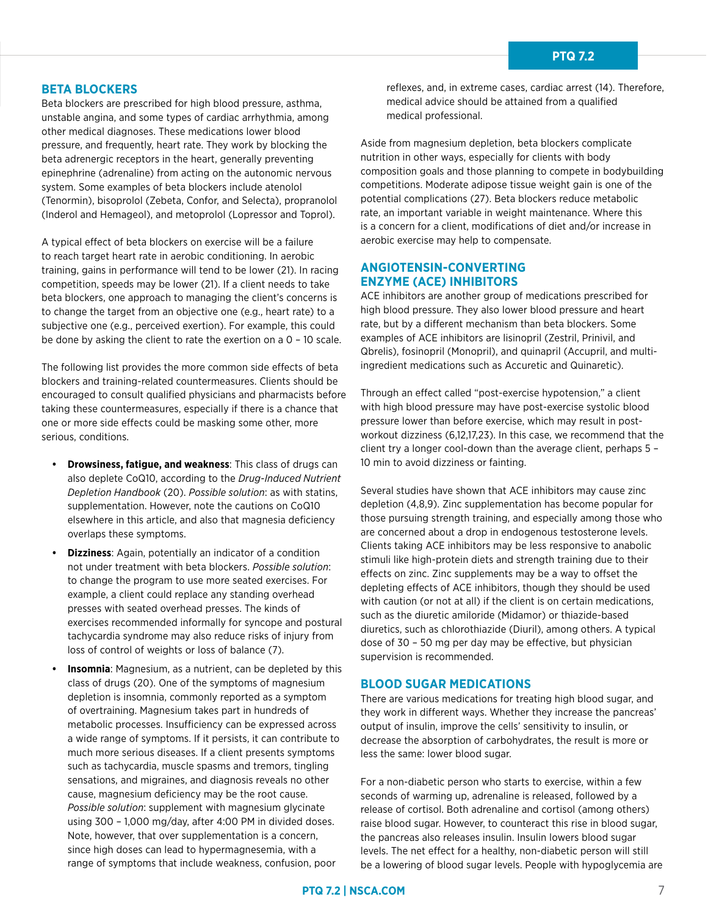## **AND HOW THE BETA BLOCKERS**

Beta blockers are prescribed for high blood pressure, asthma, unstable angina, and some types of cardiac arrhythmia, among other medical diagnoses. These medications lower blood pressure, and frequently, heart rate. They work by blocking the beta adrenergic receptors in the heart, generally preventing epinephrine (adrenaline) from acting on the autonomic nervous system. Some examples of beta blockers include atenolol (Tenormin), bisoprolol (Zebeta, Confor, and Selecta), propranolol (Inderol and Hemageol), and metoprolol (Lopressor and Toprol).

A typical effect of beta blockers on exercise will be a failure to reach target heart rate in aerobic conditioning. In aerobic training, gains in performance will tend to be lower (21). In racing competition, speeds may be lower (21). If a client needs to take beta blockers, one approach to managing the client's concerns is to change the target from an objective one (e.g., heart rate) to a subjective one (e.g., perceived exertion). For example, this could be done by asking the client to rate the exertion on a 0 – 10 scale.

The following list provides the more common side effects of beta blockers and training-related countermeasures. Clients should be encouraged to consult qualified physicians and pharmacists before taking these countermeasures, especially if there is a chance that one or more side effects could be masking some other, more serious, conditions.

- **• Drowsiness, fatigue, and weakness**: This class of drugs can also deplete CoQ10, according to the *Drug-Induced Nutrient Depletion Handbook* (20). *Possible solution*: as with statins, supplementation. However, note the cautions on CoQ10 elsewhere in this article, and also that magnesia deficiency overlaps these symptoms.
- **• Dizziness**: Again, potentially an indicator of a condition not under treatment with beta blockers. *Possible solution*: to change the program to use more seated exercises. For example, a client could replace any standing overhead presses with seated overhead presses. The kinds of exercises recommended informally for syncope and postural tachycardia syndrome may also reduce risks of injury from loss of control of weights or loss of balance (7).
- **• Insomnia**: Magnesium, as a nutrient, can be depleted by this class of drugs (20). One of the symptoms of magnesium depletion is insomnia, commonly reported as a symptom of overtraining. Magnesium takes part in hundreds of metabolic processes. Insufficiency can be expressed across a wide range of symptoms. If it persists, it can contribute to much more serious diseases. If a client presents symptoms such as tachycardia, muscle spasms and tremors, tingling sensations, and migraines, and diagnosis reveals no other cause, magnesium deficiency may be the root cause. *Possible solution*: supplement with magnesium glycinate using 300 – 1,000 mg/day, after 4:00 PM in divided doses. Note, however, that over supplementation is a concern, since high doses can lead to hypermagnesemia, with a range of symptoms that include weakness, confusion, poor

reflexes, and, in extreme cases, cardiac arrest (14). Therefore, medical advice should be attained from a qualified medical professional.

Aside from magnesium depletion, beta blockers complicate nutrition in other ways, especially for clients with body composition goals and those planning to compete in bodybuilding competitions. Moderate adipose tissue weight gain is one of the potential complications (27). Beta blockers reduce metabolic rate, an important variable in weight maintenance. Where this is a concern for a client, modifications of diet and/or increase in aerobic exercise may help to compensate.

#### **ANGIOTENSIN-CONVERTING ENZYME (ACE) INHIBITORS**

ACE inhibitors are another group of medications prescribed for high blood pressure. They also lower blood pressure and heart rate, but by a different mechanism than beta blockers. Some examples of ACE inhibitors are lisinopril (Zestril, Prinivil, and Qbrelis), fosinopril (Monopril), and quinapril (Accupril, and multiingredient medications such as Accuretic and Quinaretic).

Through an effect called "post-exercise hypotension," a client with high blood pressure may have post-exercise systolic blood pressure lower than before exercise, which may result in postworkout dizziness (6,12,17,23). In this case, we recommend that the client try a longer cool-down than the average client, perhaps 5 – 10 min to avoid dizziness or fainting.

Several studies have shown that ACE inhibitors may cause zinc depletion (4,8,9). Zinc supplementation has become popular for those pursuing strength training, and especially among those who are concerned about a drop in endogenous testosterone levels. Clients taking ACE inhibitors may be less responsive to anabolic stimuli like high-protein diets and strength training due to their effects on zinc. Zinc supplements may be a way to offset the depleting effects of ACE inhibitors, though they should be used with caution (or not at all) if the client is on certain medications, such as the diuretic amiloride (Midamor) or thiazide-based diuretics, such as chlorothiazide (Diuril), among others. A typical dose of 30 – 50 mg per day may be effective, but physician supervision is recommended.

#### **BLOOD SUGAR MEDICATIONS**

There are various medications for treating high blood sugar, and they work in different ways. Whether they increase the pancreas' output of insulin, improve the cells' sensitivity to insulin, or decrease the absorption of carbohydrates, the result is more or less the same: lower blood sugar.

For a non-diabetic person who starts to exercise, within a few seconds of warming up, adrenaline is released, followed by a release of cortisol. Both adrenaline and cortisol (among others) raise blood sugar. However, to counteract this rise in blood sugar, the pancreas also releases insulin. Insulin lowers blood sugar levels. The net effect for a healthy, non-diabetic person will still be a lowering of blood sugar levels. People with hypoglycemia are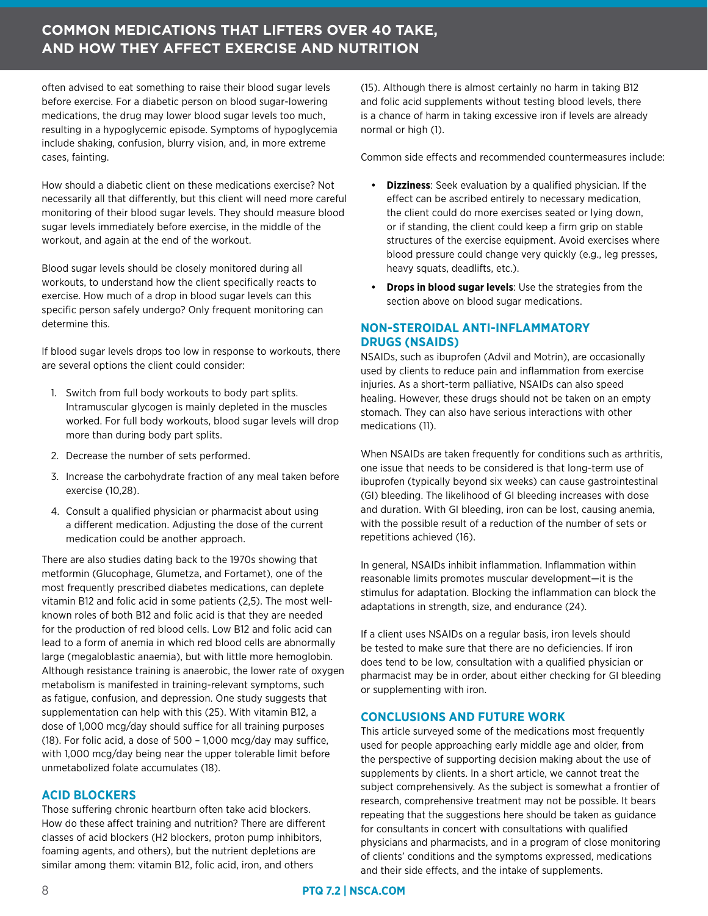### **COMMON MEDICATIONS THAT LIFTERS OVER 40 TAKE, AND HOW THEY AFFECT EXERCISE AND NUTRITION**

often advised to eat something to raise their blood sugar levels before exercise. For a diabetic person on blood sugar-lowering medications, the drug may lower blood sugar levels too much, resulting in a hypoglycemic episode. Symptoms of hypoglycemia include shaking, confusion, blurry vision, and, in more extreme cases, fainting.

How should a diabetic client on these medications exercise? Not necessarily all that differently, but this client will need more careful monitoring of their blood sugar levels. They should measure blood sugar levels immediately before exercise, in the middle of the workout, and again at the end of the workout.

Blood sugar levels should be closely monitored during all workouts, to understand how the client specifically reacts to exercise. How much of a drop in blood sugar levels can this specific person safely undergo? Only frequent monitoring can determine this.

If blood sugar levels drops too low in response to workouts, there are several options the client could consider:

- 1. Switch from full body workouts to body part splits. Intramuscular glycogen is mainly depleted in the muscles worked. For full body workouts, blood sugar levels will drop more than during body part splits.
- 2. Decrease the number of sets performed.
- 3. Increase the carbohydrate fraction of any meal taken before exercise (10,28).
- 4. Consult a qualified physician or pharmacist about using a different medication. Adjusting the dose of the current medication could be another approach.

There are also studies dating back to the 1970s showing that metformin (Glucophage, Glumetza, and Fortamet), one of the most frequently prescribed diabetes medications, can deplete vitamin B12 and folic acid in some patients (2,5). The most wellknown roles of both B12 and folic acid is that they are needed for the production of red blood cells. Low B12 and folic acid can lead to a form of anemia in which red blood cells are abnormally large (megaloblastic anaemia), but with little more hemoglobin. Although resistance training is anaerobic, the lower rate of oxygen metabolism is manifested in training-relevant symptoms, such as fatigue, confusion, and depression. One study suggests that supplementation can help with this (25). With vitamin B12, a dose of 1,000 mcg/day should suffice for all training purposes (18). For folic acid, a dose of 500 – 1,000 mcg/day may suffice, with 1,000 mcg/day being near the upper tolerable limit before unmetabolized folate accumulates (18).

#### **ACID BLOCKERS**

Those suffering chronic heartburn often take acid blockers. How do these affect training and nutrition? There are different classes of acid blockers (H2 blockers, proton pump inhibitors, foaming agents, and others), but the nutrient depletions are similar among them: vitamin B12, folic acid, iron, and others

(15). Although there is almost certainly no harm in taking B12 and folic acid supplements without testing blood levels, there is a chance of harm in taking excessive iron if levels are already normal or high (1).

Common side effects and recommended countermeasures include:

- **• Dizziness**: Seek evaluation by a qualified physician. If the effect can be ascribed entirely to necessary medication, the client could do more exercises seated or lying down, or if standing, the client could keep a firm grip on stable structures of the exercise equipment. Avoid exercises where blood pressure could change very quickly (e.g., leg presses, heavy squats, deadlifts, etc.).
- **• Drops in blood sugar levels**: Use the strategies from the section above on blood sugar medications.

#### **NON-STEROIDAL ANTI-INFLAMMATORY DRUGS (NSAIDS)**

NSAIDs, such as ibuprofen (Advil and Motrin), are occasionally used by clients to reduce pain and inflammation from exercise injuries. As a short-term palliative, NSAIDs can also speed healing. However, these drugs should not be taken on an empty stomach. They can also have serious interactions with other medications (11).

When NSAIDs are taken frequently for conditions such as arthritis, one issue that needs to be considered is that long-term use of ibuprofen (typically beyond six weeks) can cause gastrointestinal (GI) bleeding. The likelihood of GI bleeding increases with dose and duration. With GI bleeding, iron can be lost, causing anemia, with the possible result of a reduction of the number of sets or repetitions achieved (16).

In general, NSAIDs inhibit inflammation. Inflammation within reasonable limits promotes muscular development—it is the stimulus for adaptation. Blocking the inflammation can block the adaptations in strength, size, and endurance (24).

If a client uses NSAIDs on a regular basis, iron levels should be tested to make sure that there are no deficiencies. If iron does tend to be low, consultation with a qualified physician or pharmacist may be in order, about either checking for GI bleeding or supplementing with iron.

#### **CONCLUSIONS AND FUTURE WORK**

This article surveyed some of the medications most frequently used for people approaching early middle age and older, from the perspective of supporting decision making about the use of supplements by clients. In a short article, we cannot treat the subject comprehensively. As the subject is somewhat a frontier of research, comprehensive treatment may not be possible. It bears repeating that the suggestions here should be taken as guidance for consultants in concert with consultations with qualified physicians and pharmacists, and in a program of close monitoring of clients' conditions and the symptoms expressed, medications and their side effects, and the intake of supplements.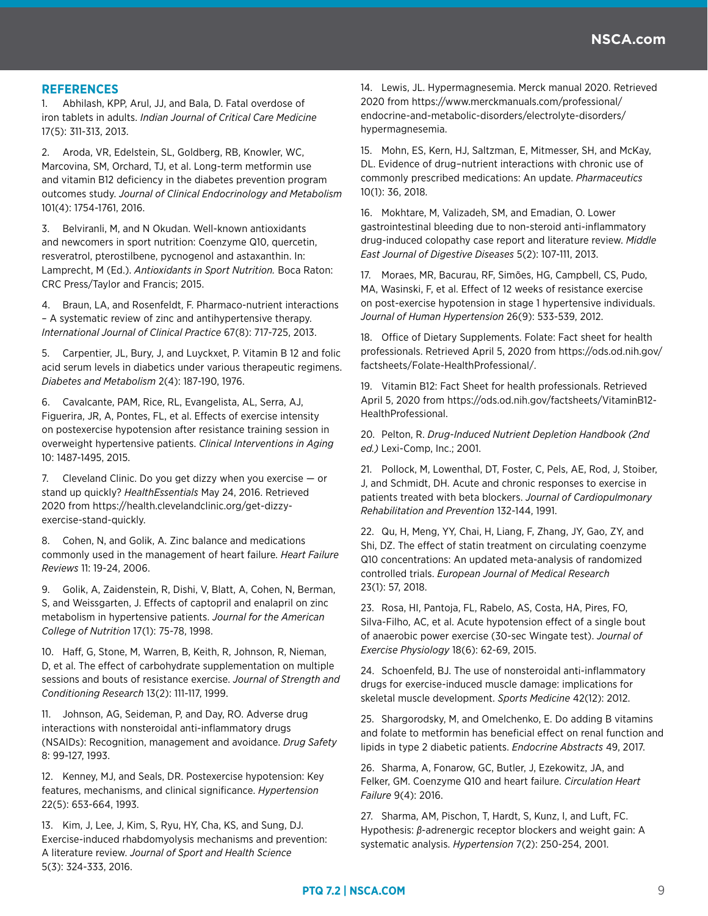#### **REFERENCES**

1. Abhilash, KPP, Arul, JJ, and Bala, D. Fatal overdose of iron tablets in adults. *Indian Journal of Critical Care Medicine* 17(5): 311-313, 2013.

2. Aroda, VR, Edelstein, SL, Goldberg, RB, Knowler, WC, Marcovina, SM, Orchard, TJ, et al. Long-term metformin use and vitamin B12 deficiency in the diabetes prevention program outcomes study. *Journal of Clinical Endocrinology and Metabolism*  101(4): 1754-1761, 2016.

3. Belviranli, M, and N Okudan. Well-known antioxidants and newcomers in sport nutrition: Coenzyme Q10, quercetin, resveratrol, pterostilbene, pycnogenol and astaxanthin. In: Lamprecht, M (Ed.). *Antioxidants in Sport Nutrition.* Boca Raton: CRC Press/Taylor and Francis; 2015.

4. Braun, LA, and Rosenfeldt, F. Pharmaco-nutrient interactions – A systematic review of zinc and antihypertensive therapy. *International Journal of Clinical Practice* 67(8): 717-725, 2013.

5. Carpentier, JL, Bury, J, and Luyckxet, P. Vitamin B 12 and folic acid serum levels in diabetics under various therapeutic regimens. *Diabetes and Metabolism* 2(4): 187-190, 1976.

6. Cavalcante, PAM, Rice, RL, Evangelista, AL, Serra, AJ, Figuerira, JR, A, Pontes, FL, et al. Effects of exercise intensity on postexercise hypotension after resistance training session in overweight hypertensive patients. *Clinical Interventions in Aging* 10: 1487-1495, 2015.

7. Cleveland Clinic. Do you get dizzy when you exercise — or stand up quickly? *HealthEssentials* May 24, 2016. Retrieved 2020 from https://health.clevelandclinic.org/get-dizzyexercise-stand-quickly.

8. Cohen, N, and Golik, A. Zinc balance and medications commonly used in the management of heart failure. *Heart Failure Reviews* 11: 19-24, 2006.

9. Golik, A, Zaidenstein, R, Dishi, V, Blatt, A, Cohen, N, Berman, S, and Weissgarten, J. Effects of captopril and enalapril on zinc metabolism in hypertensive patients. *Journal for the American College of Nutrition* 17(1): 75-78, 1998.

10. Haff, G, Stone, M, Warren, B, Keith, R, Johnson, R, Nieman, D, et al. The effect of carbohydrate supplementation on multiple sessions and bouts of resistance exercise. *Journal of Strength and Conditioning Research* 13(2): 111-117, 1999.

11. Johnson, AG, Seideman, P, and Day, RO. Adverse drug interactions with nonsteroidal anti-inflammatory drugs (NSAIDs): Recognition, management and avoidance. *Drug Safety* 8: 99-127, 1993.

12. Kenney, MJ, and Seals, DR. Postexercise hypotension: Key features, mechanisms, and clinical significance. *Hypertension* 22(5): 653-664, 1993.

13. Kim, J, Lee, J, Kim, S, Ryu, HY, Cha, KS, and Sung, DJ. Exercise-induced rhabdomyolysis mechanisms and prevention: A literature review. *Journal of Sport and Health Science* 5(3): 324-333, 2016.

14. Lewis, JL. Hypermagnesemia. Merck manual 2020. Retrieved 2020 from https://www.merckmanuals.com/professional/ endocrine-and-metabolic-disorders/electrolyte-disorders/ hypermagnesemia.

15. Mohn, ES, Kern, HJ, Saltzman, E, Mitmesser, SH, and McKay, DL. Evidence of drug–nutrient interactions with chronic use of commonly prescribed medications: An update. *Pharmaceutics* 10(1): 36, 2018.

16. Mokhtare, M, Valizadeh, SM, and Emadian, O. Lower gastrointestinal bleeding due to non-steroid anti-inflammatory drug-induced colopathy case report and literature review. *Middle East Journal of Digestive Diseases* 5(2): 107-111, 2013.

17. Moraes, MR, Bacurau, RF, Simões, HG, Campbell, CS, Pudo, MA, Wasinski, F, et al. Effect of 12 weeks of resistance exercise on post-exercise hypotension in stage 1 hypertensive individuals. *Journal of Human Hypertension* 26(9): 533-539, 2012.

18. Office of Dietary Supplements. Folate: Fact sheet for health professionals. Retrieved April 5, 2020 from https://ods.od.nih.gov/ factsheets/Folate-HealthProfessional/.

19. Vitamin B12: Fact Sheet for health professionals. Retrieved April 5, 2020 from https://ods.od.nih.gov/factsheets/VitaminB12- HealthProfessional.

20. Pelton, R. *Drug-Induced Nutrient Depletion Handbook (2nd ed.)* Lexi-Comp, Inc.; 2001.

21. Pollock, M, Lowenthal, DT, Foster, C, Pels, AE, Rod, J, Stoiber, J, and Schmidt, DH. Acute and chronic responses to exercise in patients treated with beta blockers. *Journal of Cardiopulmonary Rehabilitation and Prevention* 132-144, 1991.

22. Qu, H, Meng, YY, Chai, H, Liang, F, Zhang, JY, Gao, ZY, and Shi, DZ. The effect of statin treatment on circulating coenzyme Q10 concentrations: An updated meta-analysis of randomized controlled trials. *European Journal of Medical Research* 23(1): 57, 2018.

23. Rosa, HI, Pantoja, FL, Rabelo, AS, Costa, HA, Pires, FO, Silva-Filho, AC, et al. Acute hypotension effect of a single bout of anaerobic power exercise (30-sec Wingate test). *Journal of Exercise Physiology* 18(6): 62-69, 2015.

24. Schoenfeld, BJ. The use of nonsteroidal anti-inflammatory drugs for exercise-induced muscle damage: implications for skeletal muscle development. *Sports Medicine* 42(12): 2012.

25. Shargorodsky, M, and Omelchenko, E. Do adding B vitamins and folate to metformin has beneficial effect on renal function and lipids in type 2 diabetic patients. *Endocrine Abstracts* 49, 2017.

26. Sharma, A, Fonarow, GC, Butler, J, Ezekowitz, JA, and Felker, GM. Coenzyme Q10 and heart failure. *Circulation Heart Failure* 9(4): 2016.

27. Sharma, AM, Pischon, T, Hardt, S, Kunz, I, and Luft, FC. Hypothesis: *β*-adrenergic receptor blockers and weight gain: A systematic analysis. *Hypertension* 7(2): 250-254, 2001.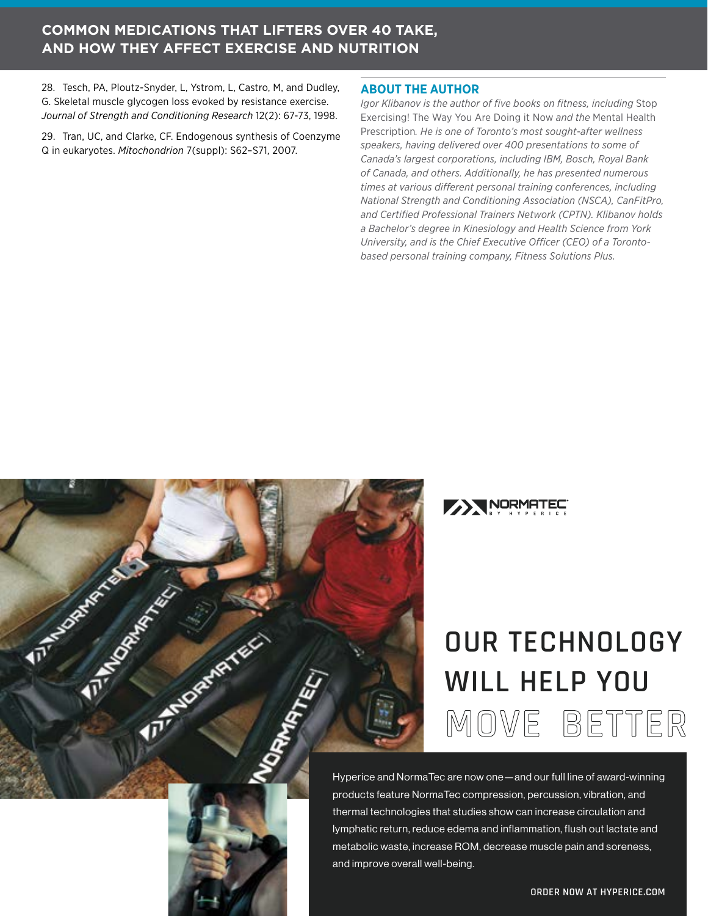### **COMMON MEDICATIONS THAT LIFTERS OVER 40 TAKE, AND HOW THEY AFFECT EXERCISE AND NUTRITION**

28. Tesch, PA, Ploutz-Snyder, L, Ystrom, L, Castro, M, and Dudley, G. Skeletal muscle glycogen loss evoked by resistance exercise. *Journal of Strength and Conditioning Research* 12(2): 67-73, 1998.

29. Tran, UC, and Clarke, CF. Endogenous synthesis of Coenzyme Q in eukaryotes. *Mitochondrion* 7(suppl): S62–S71, 2007.

**TITLES OF BRANCH AND REALLY** 

**FIT ANDREWS TELL** 

#### **ABOUT THE AUTHOR**

*Igor Klibanov is the author of five books on fitness, including* Stop Exercising! The Way You Are Doing it Now *and the* Mental Health Prescription*. He is one of Toronto's most sought-after wellness speakers, having delivered over 400 presentations to some of Canada's largest corporations, including IBM, Bosch, Royal Bank of Canada, and others. Additionally, he has presented numerous times at various different personal training conferences, including National Strength and Conditioning Association (NSCA), CanFitPro, and Certified Professional Trainers Network (CPTN). Klibanov holds a Bachelor's degree in Kinesiology and Health Science from York University, and is the Chief Executive Officer (CEO) of a Torontobased personal training company, Fitness Solutions Plus.*



# **OUR TECHNOLOGY WILL HELP YOU [MOVE BETTER](https://hyperice.com/?utm_source=NSCA&utm_medium=PersonalTrainingQuarterly&utm_campaign=June)**

Hyperice and NormaTec are now one—and our full line of award-winning products feature NormaTec compression, percussion, vibration, and thermal technologies that studies show can increase circulation and lymphatic return, reduce edema and inflammation, flush out lactate and metabolic waste, increase ROM, decrease muscle pain and soreness, and improve overall well-being.